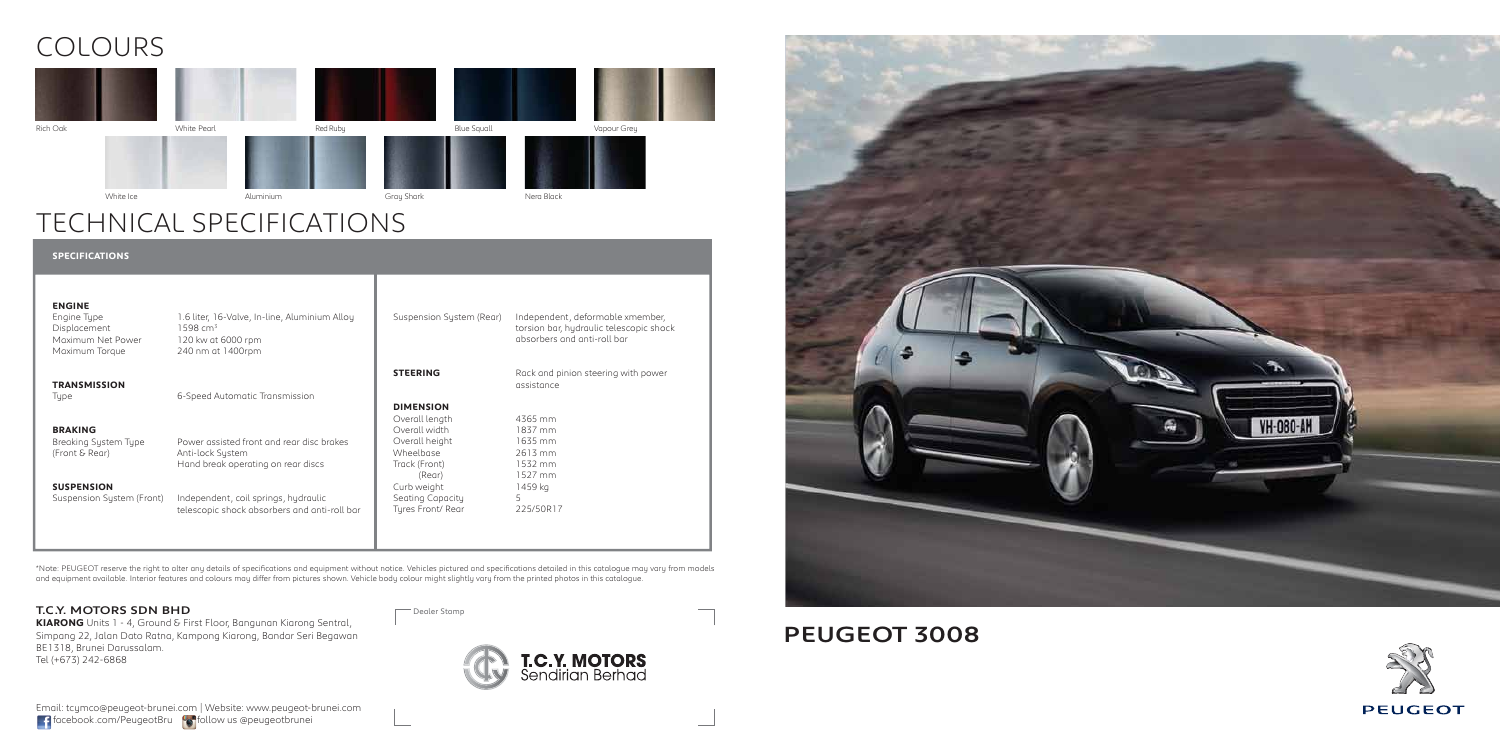### PEUGEOT 3008

### TECHNICAL SPECIFICATIONS

## COLOURS

| 1.6 liter, 16-Valve, In-line, Aluminium Alloy<br>1598 cm <sup>3</sup><br>120 kw at 6000 rpm<br>240 nm at 1400rpm | Suspension System (Rear)                             | Independent, deformable xmember,<br>torsion bar, hydraulic telescopic shock<br>absorbers and anti-roll bar |
|------------------------------------------------------------------------------------------------------------------|------------------------------------------------------|------------------------------------------------------------------------------------------------------------|
|                                                                                                                  | <b>STEERING</b>                                      | Rack and pinion steering with power<br>assistance                                                          |
|                                                                                                                  | <b>DIMENSION</b><br>Overall length<br>Overall width  | 4365 mm<br>1837 mm                                                                                         |
| Power assisted front and rear disc brakes<br>Anti-lock System<br>Hand break operating on rear discs              | Overall height<br>Wheelbase<br>Track (Front)         | 1635 mm<br>2613 mm<br>1532 mm<br>1527 mm                                                                   |
| Independent, coil springs, hydraulic<br>telescopic shock absorbers and anti-roll bar                             | Curb weight<br>Seating Capacity<br>Tyres Front/ Rear | 1459 kg<br>5.<br>225/50R17                                                                                 |
|                                                                                                                  | 6-Speed Automatic Transmission                       | (Rear)                                                                                                     |

\*Note: PEUGEOT reserve the right to alter any details of specifications and equipment without notice. Vehicles pictured and specifications detailed in this catalogue may vary from models<br>and equipment available. Interior f





### T.C.Y. MOTORS SDN BHD

**KIARONG** Units 1 - 4, Ground & First Floor, Bangunan Kiarong Sentral, Simpang 22, Jalan Dato Ratna, Kampong Kiarong, Bandar Seri Begawan BE1318, Brunei Darussalam. Tel (+673) 242-6868

Dealer Stamp